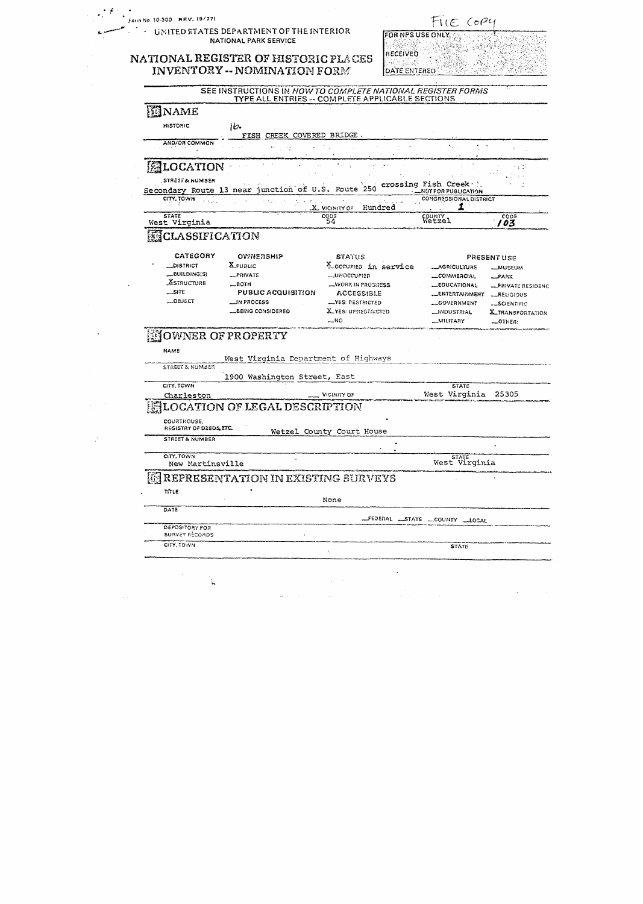|                                         | UNITED STATES DEPARTMENT OF THE INTERIOR<br><b>NATIONAL PARK SERVICE</b> |                                                  | FILE COP4<br>FOR NPS USE ONLY.                    |                                    |
|-----------------------------------------|--------------------------------------------------------------------------|--------------------------------------------------|---------------------------------------------------|------------------------------------|
|                                         |                                                                          | RECEIVED                                         |                                                   |                                    |
|                                         | NATIONAL REGISTER OF HISTORIC PLACES.<br>INVENTORY -- NOMINATION FORM    | <b>DATE ENTERED</b>                              |                                                   |                                    |
|                                         | SEE INSTRUCTIONS IN HOW TO COMPLETE NATIONAL REGISTER FORMS              |                                                  |                                                   |                                    |
|                                         |                                                                          | TYPE ALL ENTRIES -- COMPLETE APPLICABLE SECTIONS |                                                   |                                    |
| ENAME                                   |                                                                          |                                                  |                                                   |                                    |
| <b>HISTORIC</b>                         | ib.                                                                      |                                                  |                                                   |                                    |
| AND/OR COMMON                           | FISH CREEK COVERED BRIDGE.                                               |                                                  |                                                   |                                    |
|                                         |                                                                          |                                                  |                                                   |                                    |
| 图LOCATION                               |                                                                          | 17 <sup>00</sup>                                 |                                                   | $\mathcal{L}_{\rm eff}$ .          |
| , STRÉST & NUMBER                       |                                                                          |                                                  |                                                   |                                    |
| Secondary Route 13 near                 | iunction of U.S. Poute 250                                               |                                                  | crossing Fish Creek<br><b>LNOTFOR PUBLICATION</b> |                                    |
| CITY, TOWN                              |                                                                          |                                                  | <b>CONGRESSIONAL DISTRICT</b>                     |                                    |
| <b>STATE</b>                            |                                                                          | X VICINITY OF Hundred<br>$^{cops}_{54}$          | COUNTY<br>Wetzel                                  | CODE                               |
| West Virginia                           |                                                                          |                                                  |                                                   | 103                                |
| ECLASSIFICATION                         |                                                                          |                                                  |                                                   |                                    |
| CATEGORY                                | OWNERSHIP                                                                |                                                  |                                                   |                                    |
| <b>_DISTRICT</b>                        | $X$ PUBLIC                                                               | <b>STATUS</b><br>X_occuriso in service           | <b>__AGRICULTURE</b>                              | <b>PRESENTUSE</b><br><b>MUSEUM</b> |
| $-BULDING(S)$                           | _PRIVATE                                                                 | <b>__UNOCCUPIED</b>                              | COMMERCIAL                                        | RARK                               |
| <b>ASTRUCTURE</b>                       | __BOTH                                                                   | <b>_WORK IN PROGRESS</b>                         | <b>__EDUCATIONAL</b>                              | - FRIVATE RESIDENC                 |
| __SITE                                  | <b>PUBLIC ACQUISITION</b>                                                | ACCESSIBLE                                       | <b>__ENT</b> ERTAINMENT                           | <b>LRELIGIOUS</b>                  |
| —೦೩ು೯CT                                 | $\Box$ in Process                                                        | <b>__YES: RESTRICTED</b>                         | __GOVERNMENT                                      | L_SCIENTIFIC                       |
|                                         | LBEING CONSIDERED                                                        | <b>X_YES: UNRESTRICTED</b><br>—N0                | __INDUSTRIAL<br>_MILITAAY                         | <b>X_TRANSPORTATION</b><br>…ОТНЕЯ: |
|                                         |                                                                          |                                                  |                                                   |                                    |
| <b>NOWNER OF PROPERTY</b><br>الانتشاء   |                                                                          |                                                  |                                                   |                                    |
| NAME                                    | West Virginia Department of Highways                                     |                                                  |                                                   |                                    |
| <b>STREET &amp; NUMBER</b>              |                                                                          |                                                  |                                                   |                                    |
|                                         | 1900 Washington Street, East                                             |                                                  |                                                   |                                    |
| CITY, TOWN                              |                                                                          |                                                  | <b>STATE</b><br>West Virginia 25305               |                                    |
| Charleston                              |                                                                          | <b>VICINITY OF</b>                               |                                                   |                                    |
|                                         | <b>LOCATION OF LEGAL DESCRIPTION</b>                                     |                                                  |                                                   |                                    |
| COURTHOUSE.<br>REGISTRY OF DEEDS ETC.   |                                                                          |                                                  |                                                   |                                    |
| STREET & NUMBER                         |                                                                          | Wetzel County Court House                        |                                                   |                                    |
|                                         |                                                                          |                                                  |                                                   |                                    |
| CITY, TOWN                              |                                                                          |                                                  | <b>STATE</b><br>West Virginia                     |                                    |
| New Martinsville                        |                                                                          |                                                  |                                                   |                                    |
|                                         |                                                                          |                                                  |                                                   |                                    |
|                                         | REPRESENTATION IN EXISTING SURVEYS                                       |                                                  |                                                   |                                    |
| TITLE                                   |                                                                          | None                                             |                                                   |                                    |
| DATE                                    |                                                                          |                                                  |                                                   |                                    |
|                                         |                                                                          |                                                  | FEDERAL STATE COUNTY LLOCAL                       |                                    |
| DEPOSITORY FOR<br><b>SURVEY RECORDS</b> |                                                                          |                                                  |                                                   |                                    |
| CITY. TOWN                              |                                                                          |                                                  | <b>STATE</b>                                      |                                    |
|                                         |                                                                          | Â,                                               |                                                   |                                    |
|                                         |                                                                          |                                                  |                                                   |                                    |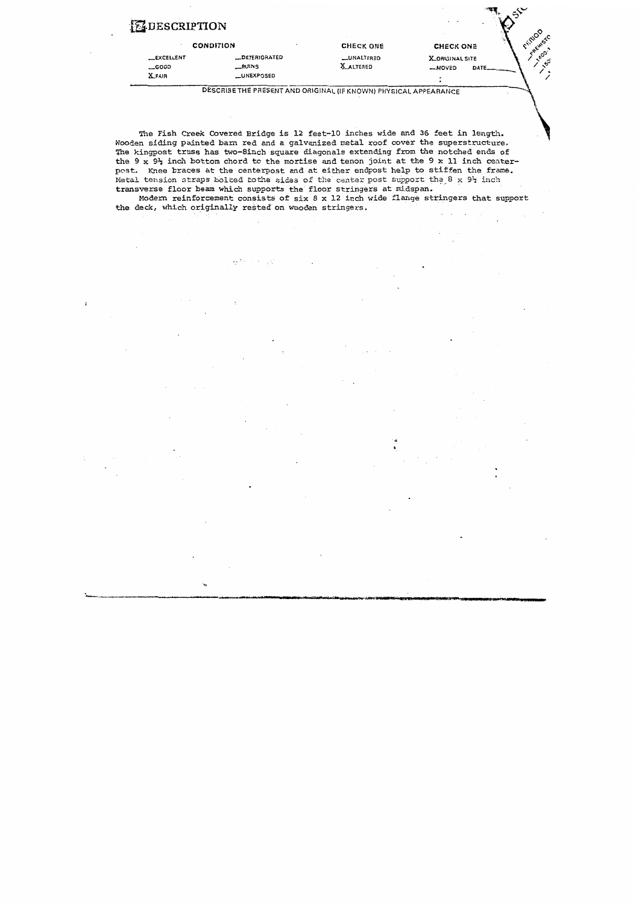|                   | <b>CHECK ONE</b> | <b>CHECK ONE</b>       | $\mathcal{S}^{\mathsf{C}}$ |
|-------------------|------------------|------------------------|----------------------------|
| _DETERIORATED     | _UNALTERED       | <b>X_ORIGINAL SITE</b> |                            |
| <b>RUINS</b>      | <b>X ALTERED</b> | $-MOVED$<br>DATE.      | ್ನೆ                        |
| <b>LUNEXPOSED</b> |                  |                        |                            |
|                   |                  |                        |                            |

べ

Modern reinforcement consists of six 8 **x** 12 inch wide flange stringers that support the deck, which originally rested on wooden stringers.

 $\Omega^{(2n+1)} \cong \Omega^{(2n+1)}$ 

 $\mathfrak{g}$ 

The Fish Creek Covered Bridge is 12 feet-10 inches wide and 36 feet in length. Wooden siding painted barn red **and** a galvanized metal roof cover **the** superstructure. The kingpost truss **has** two-8inch squaxe diagonals extending from the notched ends of the 9 x **9+** inch bottom chord to the mortise and tenon joint at **the** 9 **x** 11 **inch** center**pcst.** Knee braces **at** the centerpost and at either endpost help to stiffen the frane. Metal tension straps bolted tothe sides of the center post support the 8 x 91 inch transverse floor **beam which** supports **the** floor stringers at midspan.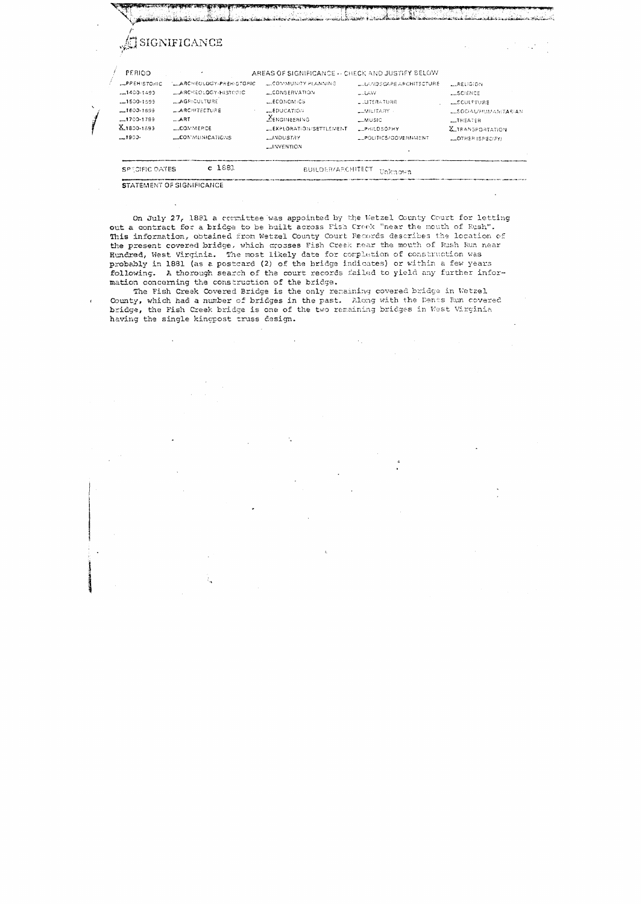JSIGNIFICANCE

PERIOD

AREAS OF SIGNIFICANCE -- CHECK AND JUSTIFY BELOW

| SPECIFIC DATES      | c 1881                  | <b>BUILDER/ARCHITECT</b> | Unknown                  |                              |
|---------------------|-------------------------|--------------------------|--------------------------|------------------------------|
|                     |                         | $\sim$ INVENTION         |                          |                              |
| $-1900 -$           | COMMUNICATIONS          | <b>JNDUSTAY</b>          | LPOLITICS/GOVERNMENT     | $-$ OTHER ISPECIFY)          |
| $X_{1800+1893}$     | <b>LLCOMMERCE</b>       | LLEXPLORATION/SETTLEMENT | $-$ PHILOSOPHY           | <b>X_TRANSPORTATION</b>      |
| $-1700 - 1799$      | $-$ ART                 | <b>ENGINEERING</b>       | $-MUSE$                  | <b>LINEATER</b>              |
| $-1600.1699$        | <b>LARCHITECTURE</b>    | $-$ EDUCATION            | <b>LEMILITARY</b>        | <b>LLSOCIAU/HUMANITARIAN</b> |
| $-1500 - 1599$      | L. AGRICULTURE          | <b>LECONOMICS</b>        | LLUTERATURE              | LECULPTURE                   |
| $-1400.1499$        | LARCHEOLOGY-HISTORIC    | L CONSERVATION           | $-14M$                   | LESCIENCE                    |
| <b>LPREHISTORIC</b> | LARCHEOLOGY-PREHISTORIC | LOWMUNITY PLANNING       | LUAND SCAPE ARCHITECTURE | $$ RELIGION                  |

STATEMENT OF SIGNIFICANCE

 $\bar{\mathbf{z}}$ 

On July 27, 1881 a committee was appointed by the Wetzel County Court for letting out a contract for a bridge to be built across Fish Creek "near the mouth of Rush". This information, obtained from Wetzel County Court Records describes the location of the present covered bridge, which crosses Fish Creek near the mouth of Rush Run near Hundred, West Virginia. The most likely date for completion of construction was probably in 1881 (as a postcard (2) of the bridge indicates) or within a few years following. A thorough search of the court records failed to yield any further information concerning the construction of the bridge.

The Fish Creek Covered Bridge is the only remaining covered bridge in Wetzel County, which had a number of bridges in the past. Along with the Dents Run covered bridge, the Fish Creek bridge is one of the two remaining bridges in West Virginia having the single kingpost truss design.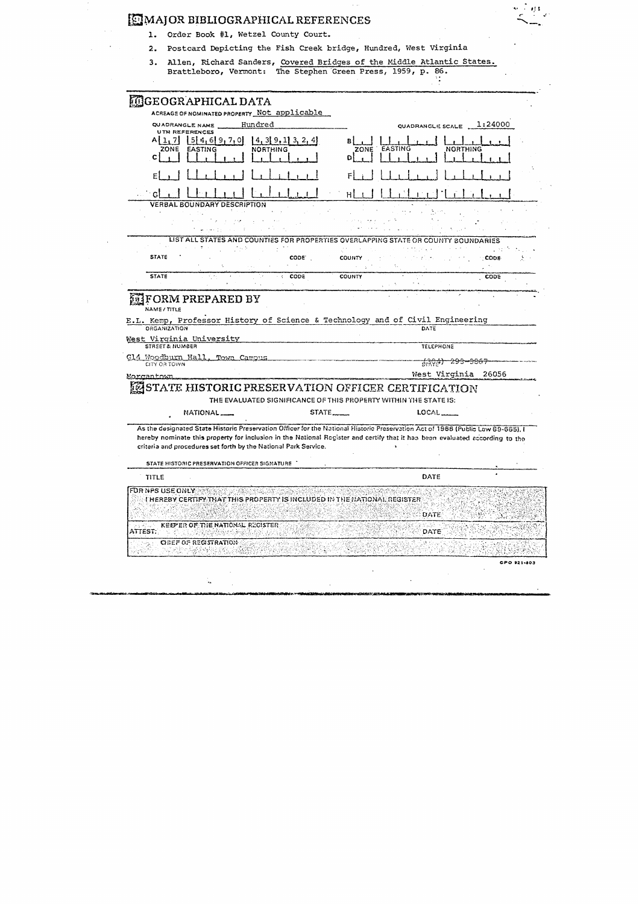|  | MAJOR BIBLIOGRAPHICAL REFERENCES                                    |
|--|---------------------------------------------------------------------|
|  | 1. Order Book #1, Wetzel County Court.                              |
|  | 2. Postcard Depicting the Fish Creek bridge, Hundred, West Virginia |

3. Allen, Richard Sanders, Covered Bridges of the Middle Atlantic States.<br>Brattleboro, Vermont: The Stephen Green Press, 1959, p. 86.

 $\alpha$  ,  $\alpha$ 

|                            | <b>MGEOGRAPHICAL DATA</b>                     |                                                                          |                    |                                                                                                                                                                                                                                                                 |                     |
|----------------------------|-----------------------------------------------|--------------------------------------------------------------------------|--------------------|-----------------------------------------------------------------------------------------------------------------------------------------------------------------------------------------------------------------------------------------------------------------|---------------------|
|                            |                                               | ACREAGE OF NOMINATED PROPERTY Not applicable                             |                    |                                                                                                                                                                                                                                                                 |                     |
|                            | QUADRANGLE NAME                               | Hundred                                                                  |                    | QUADRANGLE SCALE $1:24000$                                                                                                                                                                                                                                      |                     |
| <b>UTM REFERENCES</b>      |                                               |                                                                          |                    |                                                                                                                                                                                                                                                                 |                     |
| A[1, 7]<br>ZONE EASTING    | 1514, 619, 7, 0                               | $\{4, 3\}$ 9, 1 3, 2, 4<br><b>NORTHING</b>                               |                    | ZONE EASTING                                                                                                                                                                                                                                                    | <b>NORTHING</b>     |
| C.                         |                                               |                                                                          | DΙ                 |                                                                                                                                                                                                                                                                 |                     |
|                            |                                               |                                                                          |                    |                                                                                                                                                                                                                                                                 |                     |
|                            |                                               |                                                                          |                    |                                                                                                                                                                                                                                                                 |                     |
|                            |                                               |                                                                          |                    |                                                                                                                                                                                                                                                                 |                     |
|                            | <b>VERBAL BOUNDARY DESCRIPTION</b>            |                                                                          |                    |                                                                                                                                                                                                                                                                 |                     |
|                            |                                               |                                                                          |                    |                                                                                                                                                                                                                                                                 |                     |
|                            |                                               |                                                                          |                    |                                                                                                                                                                                                                                                                 |                     |
|                            |                                               |                                                                          |                    | LIST ALL STATES AND COUNTIES FOR PROPERTIES OVERLAPPING STATE OR COUNTY BOUNDARIES                                                                                                                                                                              |                     |
|                            |                                               |                                                                          |                    |                                                                                                                                                                                                                                                                 | 1, 21, 3            |
| <b>STATE</b>               |                                               | CODE.                                                                    | <b>COUNTY</b>      |                                                                                                                                                                                                                                                                 | <b>CODE</b>         |
| <b>STATE</b>               |                                               | $\therefore$ CODE                                                        | <b>COUNTY</b>      |                                                                                                                                                                                                                                                                 | <b>CODE</b>         |
|                            |                                               |                                                                          |                    |                                                                                                                                                                                                                                                                 |                     |
|                            |                                               |                                                                          |                    | DATE                                                                                                                                                                                                                                                            |                     |
|                            | West Virginia University                      |                                                                          |                    |                                                                                                                                                                                                                                                                 |                     |
| <b>STREET &amp; NUMBER</b> |                                               |                                                                          |                    | <b>TELEPHONE</b>                                                                                                                                                                                                                                                |                     |
| CITY OR TOWN               | Gl4 Woodburn Hall, Town Campus                |                                                                          |                    | <del>್ಷನ್ಗಳಿತ) 293–3867</del>                                                                                                                                                                                                                                   |                     |
| Morgantown                 |                                               |                                                                          |                    |                                                                                                                                                                                                                                                                 | West Virginia 26056 |
|                            |                                               |                                                                          |                    | STATE HISTORIC PRESERVATION OFFICER CERTIFICATION                                                                                                                                                                                                               |                     |
|                            |                                               |                                                                          |                    | THE EVALUATED SIGNIFICANCE OF THIS PROPERTY WITHIN THE STATE IS:                                                                                                                                                                                                |                     |
|                            | NATIONAL <sub>__</sub>                        |                                                                          | STATE <sub>-</sub> | LOCAL                                                                                                                                                                                                                                                           |                     |
|                            | STATE HISTORIC PRESERVATION OFFICER SIGNATURE | criteria and procedures set forth by the National Park Service.          |                    | As the designated State Historic Preservation Officer for the National Historic Preservation Act of 1966 (Public Law 89-665), I<br>hereby nominate this property for inclusion in the National Register and certify that it has been evaluated according to the |                     |
|                            |                                               |                                                                          |                    | DATE                                                                                                                                                                                                                                                            |                     |
| TITLE                      |                                               |                                                                          |                    |                                                                                                                                                                                                                                                                 |                     |
| FOR NPS USE ONLY           |                                               | THEREBY CERTIFY THAT THIS PROPERTY IS INCLUDED IN THE NATIONAL REGISTER. |                    |                                                                                                                                                                                                                                                                 |                     |
|                            |                                               |                                                                          |                    |                                                                                                                                                                                                                                                                 |                     |
| المنازعة والرامز           | KEEPER OF THE NATIONAL REGISTER.              |                                                                          |                    | DATE.                                                                                                                                                                                                                                                           |                     |
| ATTEST.                    |                                               |                                                                          |                    | DATE                                                                                                                                                                                                                                                            |                     |
|                            | OBEF OF REGISTRATION                          |                                                                          |                    |                                                                                                                                                                                                                                                                 |                     |

对象

 $\frac{1}{2}$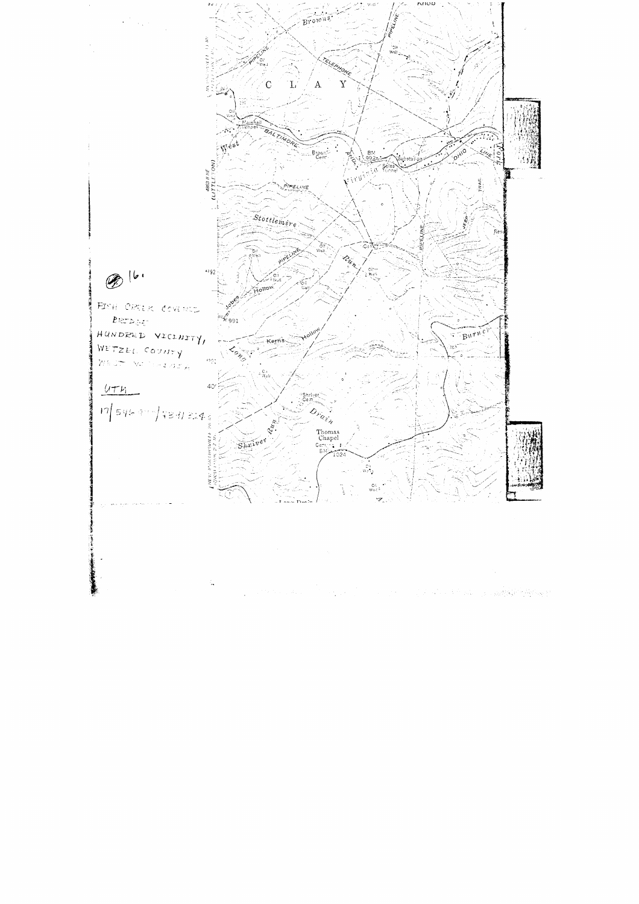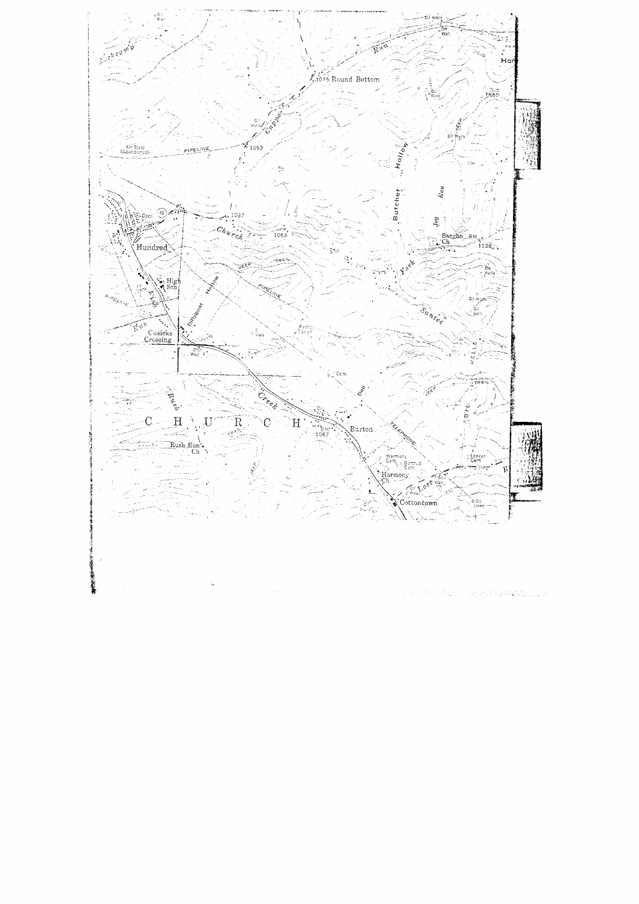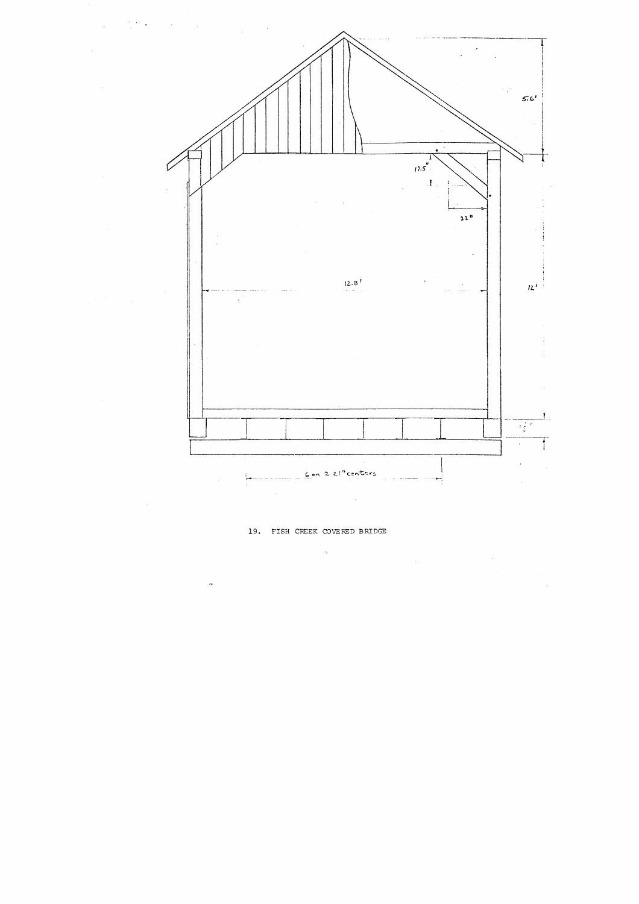

## 19. FISH CREEK COVERED BRIDGE

 $\label{eq:2.1} \mathcal{L}_{\mathcal{A}} = \left\{ \begin{array}{ll} \mathcal{L}_{\mathcal{A}} & \mathcal{L}_{\mathcal{A}} & \mathcal{L}_{\mathcal{A}} \\ \mathcal{L}_{\mathcal{A}} & \mathcal{L}_{\mathcal{A}} & \mathcal{L}_{\mathcal{A}} \\ \mathcal{L}_{\mathcal{A}} & \mathcal{L}_{\mathcal{A}} & \mathcal{L}_{\mathcal{A}} \end{array} \right. \end{array}$  $\sim$   $\sim$  $\bar{\mathcal{A}}$  $\tilde{\mathcal{A}}$  $\sim 10^6$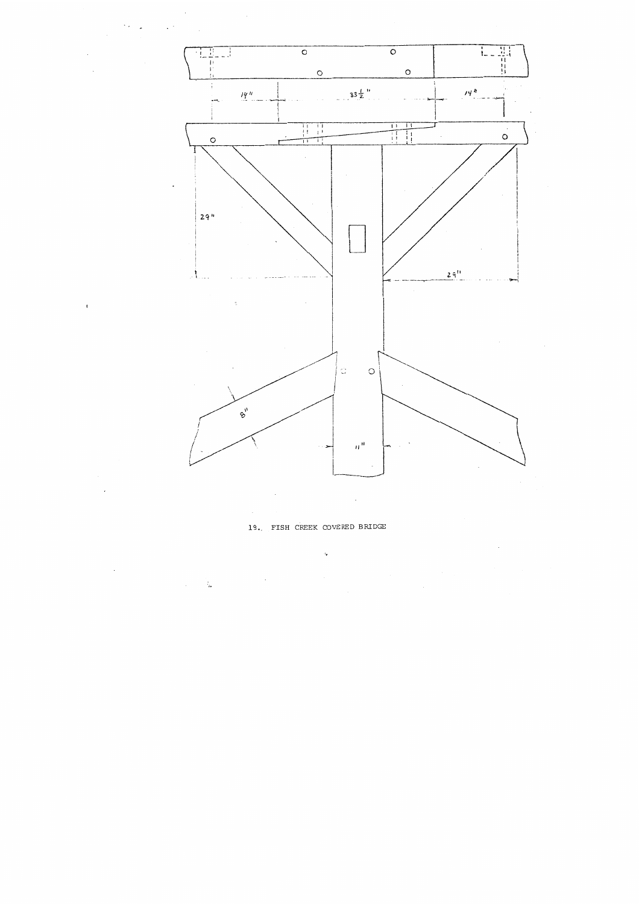

 $\bar{ }$  .

 $\mathcal{O}(\epsilon)$  ,  $\mathcal{A}$ 

 $\bar{1}$ 

**19** FISH CEEK **COVERED** BRIDGE

 $\lambda_{\mathbf{p}}$  $\overline{\phantom{a}}$  $\sim$